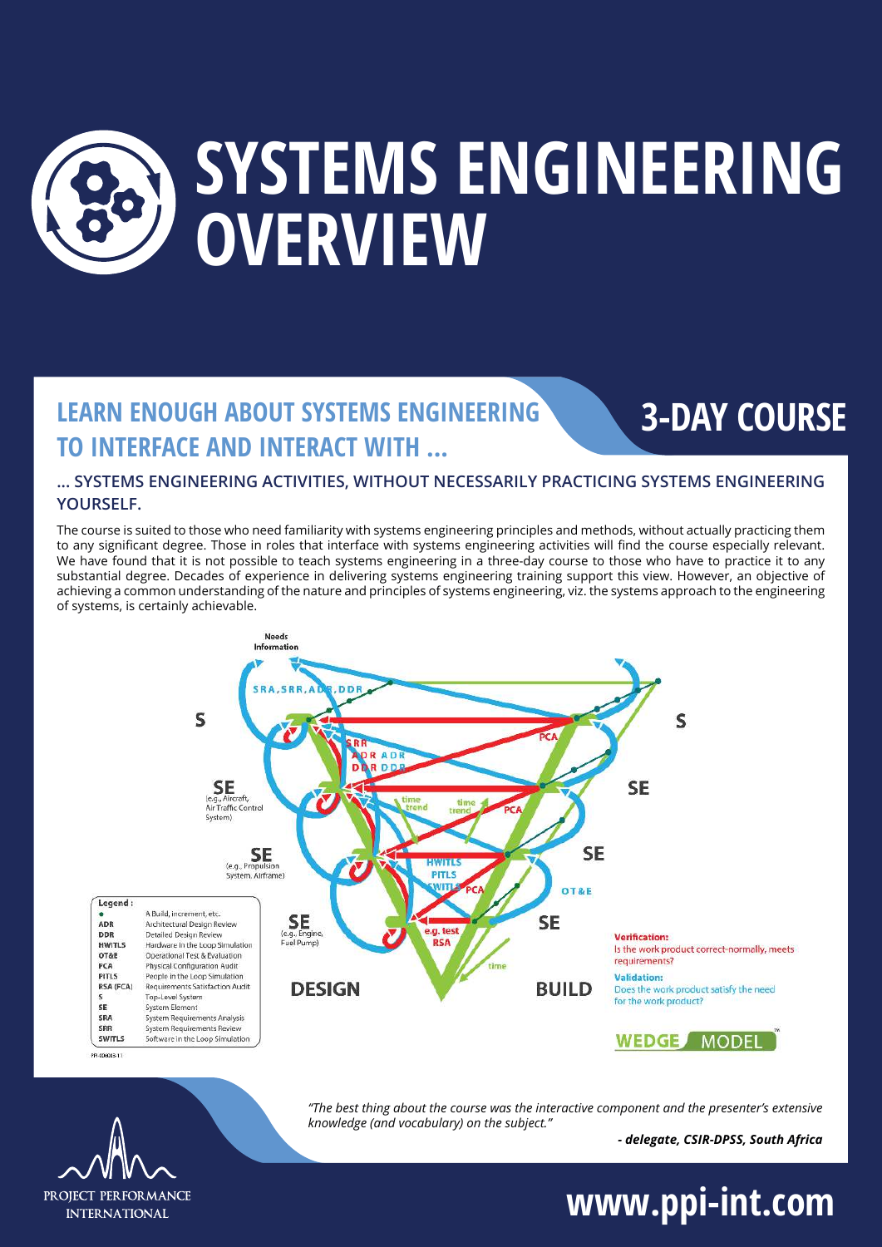

### **LEARN ENOUGH ABOUT SYSTEMS ENGINEERING TO INTERFACE AND INTERACT WITH ...**

#### **... SYSTEMS ENGINEERING ACTIVITIES, WITHOUT NECESSARILY PRACTICING SYSTEMS ENGINEERING YOURSELF.**

The course is suited to those who need familiarity with systems engineering principles and methods, without actually practicing them to any significant degree. Those in roles that interface with systems engineering activities will find the course especially relevant. We have found that it is not possible to teach systems engineering in a three-day course to those who have to practice it to any substantial degree. Decades of experience in delivering systems engineering training support this view. However, an objective of achieving a common understanding of the nature and principles of systems engineering, viz. the systems approach to the engineering of systems, is certainly achievable.



*"The best thing about the course was the interactive component and the presenter's extensive knowledge (and vocabulary) on the subject."*

*- delegate, CSIR-DPSS, South Africa*

**3-DAY COURSE**

## PROJECT PER FOR MANCE **INTERNATIONAL**

## **www.ppi-int.com**